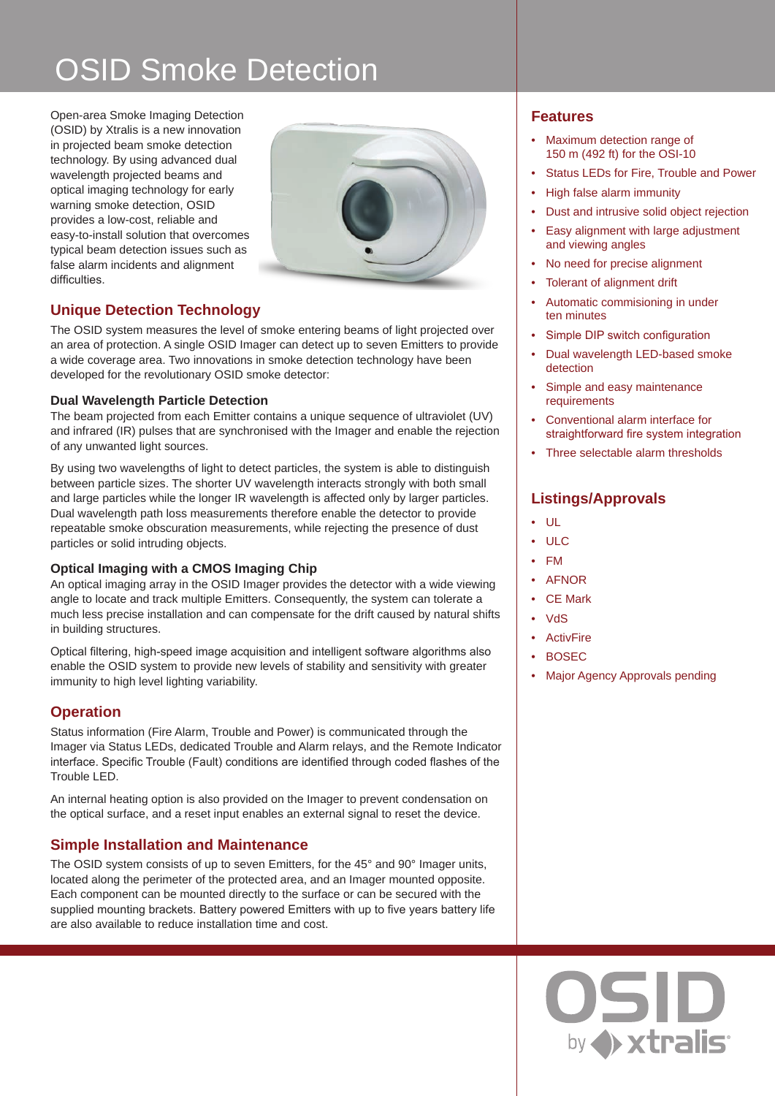# OSID Smoke Detection

Open-area Smoke Imaging Detection (OSID) by Xtralis is a new innovation in projected beam smoke detection technology. By using advanced dual wavelength projected beams and optical imaging technology for early warning smoke detection, OSID provides a low-cost, reliable and easy-to-install solution that overcomes typical beam detection issues such as false alarm incidents and alignment difficulties.



# **Unique Detection Technology**

The OSID system measures the level of smoke entering beams of light projected over an area of protection. A single OSID Imager can detect up to seven Emitters to provide a wide coverage area. Two innovations in smoke detection technology have been developed for the revolutionary OSID smoke detector:

# **Dual Wavelength Particle Detection**

The beam projected from each Emitter contains a unique sequence of ultraviolet (UV) and infrared (IR) pulses that are synchronised with the Imager and enable the rejection of any unwanted light sources.

By using two wavelengths of light to detect particles, the system is able to distinguish between particle sizes. The shorter UV wavelength interacts strongly with both small and large particles while the longer IR wavelength is affected only by larger particles. Dual wavelength path loss measurements therefore enable the detector to provide repeatable smoke obscuration measurements, while rejecting the presence of dust particles or solid intruding objects.

## **Optical Imaging with a CMOS Imaging Chip**

An optical imaging array in the OSID Imager provides the detector with a wide viewing angle to locate and track multiple Emitters. Consequently, the system can tolerate a much less precise installation and can compensate for the drift caused by natural shifts in building structures.

Optical filtering, high-speed image acquisition and intelligent software algorithms also enable the OSID system to provide new levels of stability and sensitivity with greater immunity to high level lighting variability.

# **Operation**

Status information (Fire Alarm, Trouble and Power) is communicated through the Imager via Status LEDs, dedicated Trouble and Alarm relays, and the Remote Indicator interface. Specific Trouble (Fault) conditions are identified through coded flashes of the Trouble LED.

An internal heating option is also provided on the Imager to prevent condensation on the optical surface, and a reset input enables an external signal to reset the device.

# **Simple Installation and Maintenance**

The OSID system consists of up to seven Emitters, for the 45° and 90° Imager units, located along the perimeter of the protected area, and an Imager mounted opposite. Each component can be mounted directly to the surface or can be secured with the supplied mounting brackets. Battery powered Emitters with up to five years battery life are also available to reduce installation time and cost.

# **Features**

- Maximum detection range of 150 m (492 ft) for the OSI-10
- Status LEDs for Fire, Trouble and Power
- High false alarm immunity
- Dust and intrusive solid object rejection
- Easy alignment with large adjustment and viewing angles
- No need for precise alignment
- Tolerant of alignment drift
- Automatic commisioning in under ten minutes
- Simple DIP switch configuration
- Dual wavelength LED-based smoke detection
- Simple and easy maintenance requirements
- Conventional alarm interface for straightforward fire system integration
- Three selectable alarm thresholds

# **Listings/Approvals**

- UL
- ULC
- FM
- AFNOR
- CE Mark
- VdS
- **ActivFire**
- BOSEC
- **Major Agency Approvals pending**